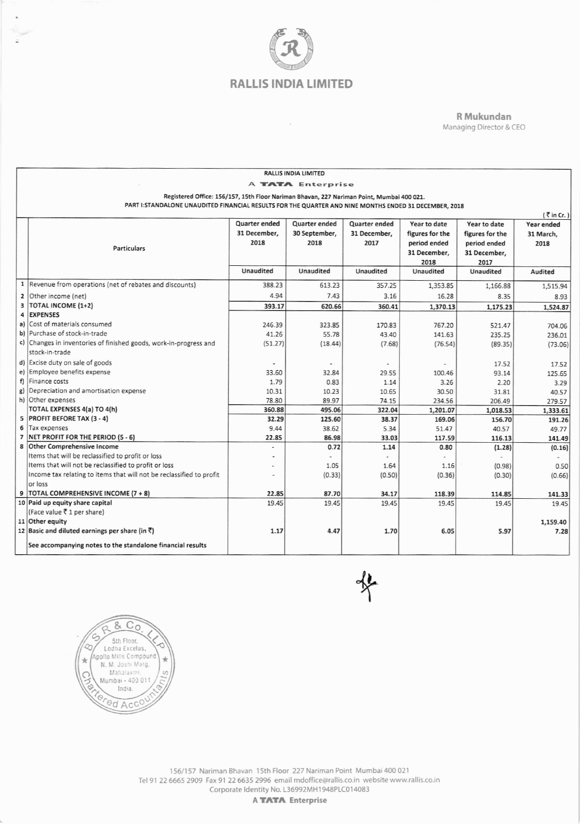

 $\sim$ 

R Mukundan Managing Director & CEO

| <b>RALLIS INDIA LIMITED</b>                                                               |                                                                                                        |               |                  |               |                 |                 |            |  |
|-------------------------------------------------------------------------------------------|--------------------------------------------------------------------------------------------------------|---------------|------------------|---------------|-----------------|-----------------|------------|--|
| A <b>TATA</b> Enterprise                                                                  |                                                                                                        |               |                  |               |                 |                 |            |  |
| Registered Office: 156/157, 15th Floor Nariman Bhavan, 227 Nariman Point, Mumbai 400 021. |                                                                                                        |               |                  |               |                 |                 |            |  |
|                                                                                           | PART I: STANDALONE UNAUDITED FINANCIAL RESULTS FOR THE QUARTER AND NINE MONTHS ENDED 31 DECEMBER, 2018 |               |                  |               |                 |                 |            |  |
| $\bar{\tau}$ in Cr.)                                                                      |                                                                                                        |               |                  |               |                 |                 |            |  |
|                                                                                           |                                                                                                        | Quarter ended | Quarter ended    | Quarter ended | Year to date    | Year to date    | Year ended |  |
|                                                                                           |                                                                                                        | 31 December,  | 30 September,    | 31 December,  | figures for the | figures for the | 31 March,  |  |
|                                                                                           |                                                                                                        | 2018          | 2018             | 2017          | period ended    | period ended    | 2018       |  |
|                                                                                           | <b>Particulars</b>                                                                                     |               |                  |               | 31 December,    | 31 December,    |            |  |
|                                                                                           |                                                                                                        |               |                  |               | 2018            | 2017            |            |  |
|                                                                                           |                                                                                                        | Unaudited     | <b>Unaudited</b> | Unaudited     | Unaudited       | Unaudited       | Audited    |  |
|                                                                                           | 1  Revenue from operations (net of rebates and discounts)                                              | 388.23        | 613.23           | 357.25        | 1,353.85        | 1,166.88        | 1,515.94   |  |
|                                                                                           | 2 Other income (net)                                                                                   | 4.94          | 7.43             | 3.16          | 16.28           | 8.35            | 8.93       |  |
|                                                                                           | 3  TOTAL INCOME (1+2)                                                                                  | 393.17        | 620.66           | 360.41        | 1,370.13        | 1,175.23        | 1,524.87   |  |
|                                                                                           | 4 EXPENSES                                                                                             |               |                  |               |                 |                 |            |  |
|                                                                                           | a) Cost of materials consumed                                                                          | 246.39        | 323.85           | 170.83        | 767.20          | 521.47          | 704.06     |  |
|                                                                                           | b) Purchase of stock-in-trade                                                                          | 41.26         | 55.78            | 43.40         | 141.63          | 235.25          | 236.01     |  |
|                                                                                           | c) Changes in inventories of finished goods, work-in-progress and                                      | (51.27)       | (18.44)          | (7.68)        | (76.54)         | (89.35)         | (73.06)    |  |
|                                                                                           | stock-in-trade                                                                                         |               |                  |               |                 |                 |            |  |
|                                                                                           | d) Excise duty on sale of goods                                                                        |               |                  |               |                 | 17.52           | 17.52      |  |
|                                                                                           | e) Employee benefits expense                                                                           | 33.60         | 32.84            | 29.55         | 100.46          | 93.14           | 125.65     |  |
|                                                                                           | f) Finance costs                                                                                       | 1.79          | 0.83             | 1.14          | 3.26            | 2.20            | 3.29       |  |
|                                                                                           | g) Depreciation and amortisation expense                                                               | 10.31         | 10.23            | 10.65         | 30.50           | 31.81           | 40.57      |  |
|                                                                                           | h) Other expenses                                                                                      | 78.80         | 89.97            | 74.15         | 234.56          | 206.49          | 279.57     |  |
|                                                                                           | TOTAL EXPENSES 4(a) TO 4(h)                                                                            | 360.88        | 495.06           | 322.04        | 1,201.07        | 1,018.53        | 1.333.61   |  |
|                                                                                           | 5 PROFIT BEFORE TAX (3 - 4)                                                                            | 32.29         | 125.60           | 38.37         | 169.06          | 156.70          | 191.26     |  |
|                                                                                           | 6 Tax expenses                                                                                         | 9.44          | 38.62            | 5.34          | 51.47           | 40.57           | 49.77      |  |
|                                                                                           | 7 NET PROFIT FOR THE PERIOD (5 - 6)                                                                    | 22.85         | 86.98            | 33.03         | 117.59          | 116.13          | 141.49     |  |
| 8                                                                                         | Other Comprehensive Income                                                                             | ٠             | 0.72             | 1.14          | 0.80            | (1.28)          | (0.16)     |  |
|                                                                                           | Items that will be reclassified to profit or loss                                                      |               |                  |               |                 |                 |            |  |
|                                                                                           | Items that will not be reclassified to profit or loss                                                  |               | 1.05             | 1.64          | 1.16            | (0.98)          | 0.50       |  |
|                                                                                           | Income tax relating to items that will not be reclassified to profit                                   |               | (0.33)           | (0.50)        | (0.36)          | (0.30)          | (0.66)     |  |
|                                                                                           | or loss                                                                                                |               |                  |               |                 |                 |            |  |
| 9                                                                                         | TOTAL COMPREHENSIVE INCOME (7 + 8)                                                                     | 22.85         | 87.70            | 34.17         | 118.39          | 114.85          | 141.33     |  |
|                                                                                           | 10 Paid up equity share capital                                                                        | 19.45         | 19.45            | 19.45         | 19.45           | 19.45           | 19.45      |  |
|                                                                                           | (Face value ₹ 1 per share)                                                                             |               |                  |               |                 |                 |            |  |
|                                                                                           | 11 Other equity                                                                                        |               |                  |               |                 |                 | 1,159.40   |  |
|                                                                                           | 12 Basic and diluted earnings per share (in $\bar{z}$ )                                                | 1.17          | 4.47             | 1.70          | 6.05            | 5.97            | 7.28       |  |
|                                                                                           | See accompanying notes to the standalone financial results                                             |               |                  |               |                 |                 |            |  |





A TATA Enterprise